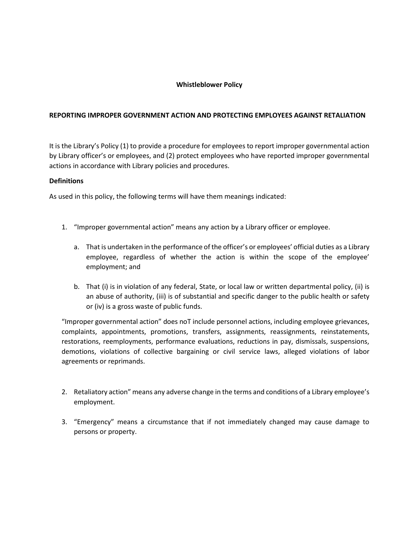# **Whistleblower Policy**

# **REPORTING IMPROPER GOVERNMENT ACTION AND PROTECTING EMPLOYEES AGAINST RETALIATION**

It is the Library's Policy (1) to provide a procedure for employees to report improper governmental action by Library officer's or employees, and (2) protect employees who have reported improper governmental actions in accordance with Library policies and procedures.

# **Definitions**

As used in this policy, the following terms will have them meanings indicated:

- 1. "Improper governmental action" means any action by a Library officer or employee.
	- a. That is undertaken in the performance of the officer's or employees' official duties as a Library employee, regardless of whether the action is within the scope of the employee' employment; and
	- b. That (i) is in violation of any federal, State, or local law or written departmental policy, (ii) is an abuse of authority, (iii) is of substantial and specific danger to the public health or safety or (iv) is a gross waste of public funds.

"Improper governmental action" does noT include personnel actions, including employee grievances, complaints, appointments, promotions, transfers, assignments, reassignments, reinstatements, restorations, reemployments, performance evaluations, reductions in pay, dismissals, suspensions, demotions, violations of collective bargaining or civil service laws, alleged violations of labor agreements or reprimands.

- 2. Retaliatory action" means any adverse change in the terms and conditions of a Library employee's employment.
- 3. "Emergency" means a circumstance that if not immediately changed may cause damage to persons or property.